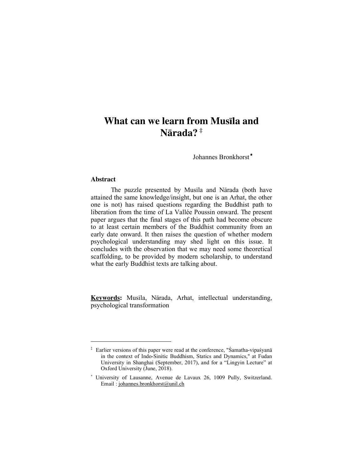# **What can we learn from Musila and Nårada? ‡**

Johannes Bronkhorst <sup>∗</sup>

## **Abstract**

 $\overline{a}$ 

The puzzle presented by Musila and Nārada (both have attained the same knowledge/insight, but one is an Arhat, the other one is not) has raised questions regarding the Buddhist path to liberation from the time of La Vallée Poussin onward. The present paper argues that the final stages of this path had become obscure to at least certain members of the Buddhist community from an early date onward. It then raises the question of whether modern psychological understanding may shed light on this issue. It concludes with the observation that we may need some theoretical scaffolding, to be provided by modern scholarship, to understand what the early Buddhist texts are talking about.

Keywords: Musila, Nārada, Arhat, intellectual understanding, psychological transformation

<sup>&</sup>lt;sup>‡</sup> Earlier versions of this paper were read at the conference, "Śamatha-vipaśyanā in the context of Indo-Sinitic Buddhism, Statics and Dynamics," at Fudan University in Shanghai (September, 2017), and for a "Lingyin Lecture" at Oxford University (June, 2018).

<sup>∗</sup> University of Lausanne, Avenue de Lavaux 26, 1009 Pully, Switzerland. Email : johannes.bronkhorst@unil.ch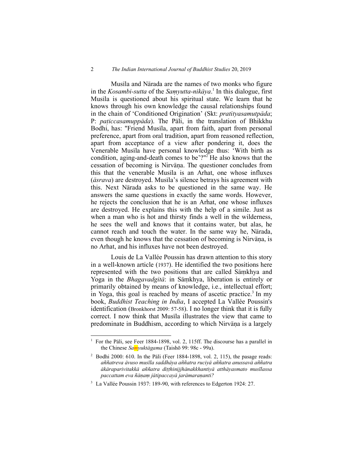#### 2 *The Indian International Journal of Buddhist Studies* 20, 2019

Musila and Nārada are the names of two monks who figure in the *Kosambī-sutta* of the *Samyutta-nikāya*.<sup>1</sup> In this dialogue, first Musila is questioned about his spiritual state. We learn that he knows through his own knowledge the causal relationships found in the chain of 'Conditioned Origination' (Skt: *pratityasamutpāda*; P: *paticcasamuppāda*). The Pāli, in the translation of Bhikkhu Bodhi, has: "Friend Musila, apart from faith, apart from personal preference, apart from oral tradition, apart from reasoned reflection, apart from acceptance of a view after pondering it, does the Venerable Musila have personal knowledge thus: 'With birth as condition, aging-and-death comes to be'?"<sup>2</sup> He also knows that the cessation of becoming is Nirvāna. The questioner concludes from this that the venerable Musila is an Arhat, one whose influxes ( $\bar{a}$ *srava*) are destroyed. Musila's silence betrays his agreement with this. Next Nårada asks to be questioned in the same way. He answers the same questions in exactly the same words. However, he rejects the conclusion that he is an Arhat, one whose influxes are destroyed. He explains this with the help of a simile. Just as when a man who is hot and thirsty finds a well in the wilderness, he sees the well and knows that it contains water, but alas, he cannot reach and touch the water. In the same way he, Nårada, even though he knows that the cessation of becoming is Nirvāna, is no Arhat, and his influxes have not been destroyed.

Louis de La Vallée Poussin has drawn attention to this story in a well-known article (1937). He identified the two positions here represented with the two positions that are called Samkhya and Yoga in the *Bhagavadgītā*: in Sāmkhya, liberation is entirely or primarily obtained by means of knowledge, i.e., intellectual effort; in Yoga, this goal is reached by means of ascetic practice.<sup>3</sup> In my book, *Buddhist Teaching in India*, I accepted La Vallée Poussin's identification (Bronkhorst 2009: 57-58). I no longer think that it is fully correct. I now think that Musila illustrates the view that came to predominate in Buddhism, according to which Nirvāna is a largely

For the Påli, see Feer 1884-1898, vol. 2, 115ff. The discourse has a parallel in the Chinese *Samyuktågama* (Taishō 99: 98c - 99a).

<sup>&</sup>lt;sup>2</sup> Bodhi 2000: 610. In the Pāli (Feer 1884-1898, vol. 2, 115), the pasage reads: *aññatreva åvuso musīla saddhåya aññatra ruciyå aññatra anussavå aññatra åkåraparivitakkå aññatra di††hinijjhånakkhantiyå atthåyasmato musīlassa paccattam eva ñåˆaµ jåtipaccayå jaråmaraˆanti?*

<sup>&</sup>lt;sup>3</sup> La Vallée Poussin 1937: 189-90, with references to Edgerton 1924: 27.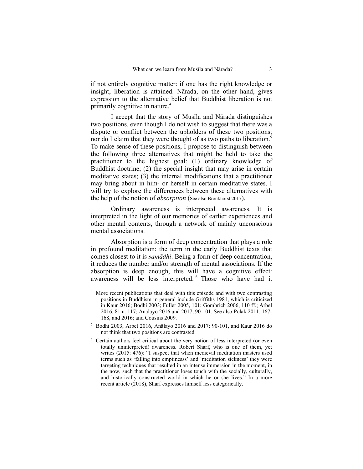if not entirely cognitive matter: if one has the right knowledge or insight, liberation is attained. Nårada, on the other hand, gives expression to the alternative belief that Buddhist liberation is not primarily cognitive in nature.<sup>4</sup>

I accept that the story of Musila and Nārada distinguishes two positions, even though I do not wish to suggest that there was a dispute or conflict between the upholders of these two positions; nor do I claim that they were thought of as two paths to liberation.<sup>5</sup> To make sense of these positions, I propose to distinguish between the following three alternatives that might be held to take the practitioner to the highest goal: (1) ordinary knowledge of Buddhist doctrine; (2) the special insight that may arise in certain meditative states; (3) the internal modifications that a practitioner may bring about in him- or herself in certain meditative states. I will try to explore the differences between these alternatives with the help of the notion of *absorption* (See also Bronkhorst 2017).

Ordinary awareness is interpreted awareness. It is interpreted in the light of our memories of earlier experiences and other mental contents, through a network of mainly unconscious mental associations.

Absorption is a form of deep concentration that plays a role in profound meditation; the term in the early Buddhist texts that comes closest to it is *samådhi*. Being a form of deep concentration, it reduces the number and/or strength of mental associations. If the absorption is deep enough, this will have a cognitive effect: awareness will be less interpreted. <sup>6</sup> Those who have had it

<sup>&</sup>lt;sup>4</sup> More recent publications that deal with this episode and with two contrasting positions in Buddhism in general include Griffiths 1981, which is criticized in Kaur 2016; Bodhi 2003; Fuller 2005, 101; Gombrich 2006, 110 ff.; Arbel 2016, 81 n. 117; Anålayo 2016 and 2017, 90-101. See also Polak 2011, 167- 168, and 2016; and Cousins 2009.

<sup>5</sup> Bodhi 2003, Arbel 2016, Anålayo 2016 and 2017: 90-101, and Kaur 2016 do not think that two positions are contrasted.

<sup>&</sup>lt;sup>6</sup> Certain authors feel critical about the very notion of less interpreted (or even totally uninterpreted) awareness. Robert Sharf, who is one of them, yet writes (2015: 476): "I suspect that when medieval meditation masters used terms such as 'falling into emptinesss' and 'meditation sickness' they were targeting techniques that resulted in an intense immersion in the moment, in the now, such that the practitioner loses touch with the socially, culturally, and historically constructed world in which he or she lives." In a more recent article (2018), Sharf expresses himself less categorically.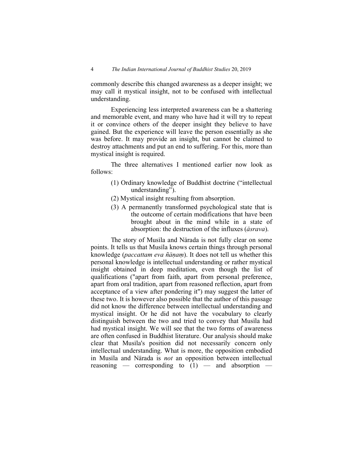commonly describe this changed awareness as a deeper insight; we may call it mystical insight, not to be confused with intellectual understanding.

Experiencing less interpreted awareness can be a shattering and memorable event, and many who have had it will try to repeat it or convince others of the deeper insight they believe to have gained. But the experience will leave the person essentially as she was before. It may provide an insight, but cannot be claimed to destroy attachments and put an end to suffering. For this, more than mystical insight is required.

The three alternatives I mentioned earlier now look as follows:

- (1) Ordinary knowledge of Buddhist doctrine ("intellectual understanding").
- (2) Mystical insight resulting from absorption.
- (3) A permanently transformed psychological state that is the outcome of certain modifications that have been brought about in the mind while in a state of absorption: the destruction of the influxes (*åsrava*).

The story of Musila and Nārada is not fully clear on some points. It tells us that Musila knows certain things through personal knowledge (*paccattam eva ñānam*). It does not tell us whether this personal knowledge is intellectual understanding or rather mystical insight obtained in deep meditation, even though the list of qualifications ("apart from faith, apart from personal preference, apart from oral tradition, apart from reasoned reflection, apart from acceptance of a view after pondering it") may suggest the latter of these two. It is however also possible that the author of this passage did not know the difference between intellectual understanding and mystical insight. Or he did not have the vocabulary to clearly distinguish between the two and tried to convey that Musila had had mystical insight. We will see that the two forms of awareness are often confused in Buddhist literature. Our analysis should make clear that Musila's position did not necessarily concern only intellectual understanding. What is more, the opposition embodied in Musila and Nārada is *not* an opposition between intellectual reasoning — corresponding to  $(1)$  — and absorption —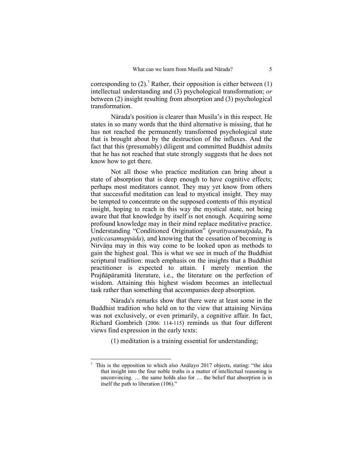corresponding to  $(2)$ .<sup>7</sup> Rather, their opposition is either between  $(1)$ intellectual understanding and (3) psychological transformation; *or* between (2) insight resulting from absorption and (3) psychological transformation.

Nārada's position is clearer than Musila's in this respect. He states in so many words that the third alternative is missing, that he has not reached the permanently transformed psychological state that is brought about by the destruction of the influxes. And the fact that this (presumably) diligent and committed Buddhist admits that he has not reached that state strongly suggests that he does not know how to get there.

Not all those who practice meditation can bring about a state of absorption that is deep enough to have cognitive effects; perhaps most meditators cannot. They may yet know from others that successful meditation can lead to mystical insight. They may be tempted to concentrate on the supposed contents of this mystical insight, hoping to reach in this way the mystical state, not being aware that that knowledge by itself is not enough. Acquiring some profound knowledge may in their mind replace meditative practice. Understanding "Conditioned Origination" (pratītyasamutpāda, Pa *paticcasamuppāda*), and knowing that the cessation of becoming is Nirvāna may in this way come to be looked upon as methods to gain the highest goal. This is what we see in much of the Buddhist scriptural tradition: much emphasis on the insights that a Buddhist practitioner is expected to attain. I merely mention the Prajñåpåramitå literature, i.e., the literature on the perfection of wisdom. Attaining this highest wisdom becomes an intellectual task rather than something that accompanies deep absorption.

Nårada's remarks show that there were at least some in the Buddhist tradition who held on to the view that attaining Nirvāna was not exclusively, or even primarily, a cognitive affair. In fact, Richard Gombrich (2006: 114-115) reminds us that four different views find expression in the early texts:

(1) meditation is a training essential for understanding;

<sup>&</sup>lt;sup>7</sup> This is the opposition to which also Anālayo 2017 objects, stating: "the idea that insight into the four noble truths is a matter of intellectual reasoning is unconvincing. … the same holds also for … the belief that absorption is in itself the path to liberation (106)."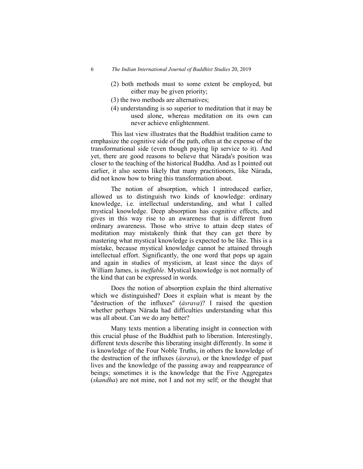- (2) both methods must to some extent be employed, but either may be given priority;
- (3) the two methods are alternatives;
- (4) understanding is so superior to meditation that it may be used alone, whereas meditation on its own can never achieve enlightenment.

This last view illustrates that the Buddhist tradition came to emphasize the cognitive side of the path, often at the expense of the transformational side (even though paying lip service to it). And yet, there are good reasons to believe that Nårada's position was closer to the teaching of the historical Buddha. And as I pointed out earlier, it also seems likely that many practitioners, like Nårada, did not know how to bring this transformation about.

The notion of absorption, which I introduced earlier, allowed us to distinguish two kinds of knowledge: ordinary knowledge, i.e. intellectual understanding, and what I called mystical knowledge. Deep absorption has cognitive effects, and gives in this way rise to an awareness that is different from ordinary awareness. Those who strive to attain deep states of meditation may mistakenly think that they can get there by mastering what mystical knowledge is expected to be like. This is a mistake, because mystical knowledge cannot be attained through intellectual effort. Significantly, the one word that pops up again and again in studies of mysticism, at least since the days of William James, is *ineffable*. Mystical knowledge is not normally of the kind that can be expressed in words.

Does the notion of absorption explain the third alternative which we distinguished? Does it explain what is meant by the "destruction of the influxes" (*åsrava*)? I raised the question whether perhaps Nårada had difficulties understanding what this was all about. Can we do any better?

Many texts mention a liberating insight in connection with this crucial phase of the Buddhist path to liberation. Interestingly, different texts describe this liberating insight differently. In some it is knowledge of the Four Noble Truths, in others the knowledge of the destruction of the influxes (*åsrava*), or the knowledge of past lives and the knowledge of the passing away and reappearance of beings; sometimes it is the knowledge that the Five Aggregates (*skandha*) are not mine, not I and not my self; or the thought that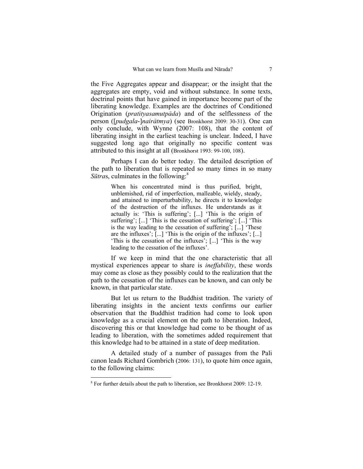the Five Aggregates appear and disappear; or the insight that the aggregates are empty, void and without substance. In some texts, doctrinal points that have gained in importance become part of the liberating knowledge. Examples are the doctrines of Conditioned Origination (*pratityasamutpāda*) and of the selflessness of the person ([*pudgala*-]*nairåtmya*) (see Bronkhorst 2009: 30-31). One can only conclude, with Wynne (2007: 108), that the content of liberating insight in the earliest teaching is unclear. Indeed, I have suggested long ago that originally no specific content was attributed to this insight at all (Bronkhorst 1993: 99-100, 108).

Perhaps I can do better today. The detailed description of the path to liberation that is repeated so many times in so many  $S\bar{u}$ *tras*, culminates in the following:<sup>8</sup>

> When his concentrated mind is thus purified, bright, unblemished, rid of imperfection, malleable, wieldy, steady, and attained to imperturbability, he directs it to knowledge of the destruction of the influxes. He understands as it actually is: 'This is suffering'; [...] 'This is the origin of suffering'; [...] 'This is the cessation of suffering'; [...] 'This is the way leading to the cessation of suffering'; [...] 'These are the influxes'; [...] 'This is the origin of the influxes'; [...] 'This is the cessation of the influxes'; [...] 'This is the way leading to the cessation of the influxes'.

If we keep in mind that the one characteristic that all mystical experiences appear to share is *ineffability*, these words may come as close as they possibly could to the realization that the path to the cessation of the influxes can be known, and can only be known, in that particular state.

But let us return to the Buddhist tradition. The variety of liberating insights in the ancient texts confirms our earlier observation that the Buddhist tradition had come to look upon knowledge as a crucial element on the path to liberation. Indeed, discovering this or that knowledge had come to be thought of as leading to liberation, with the sometimes added requirement that this knowledge had to be attained in a state of deep meditation.

A detailed study of a number of passages from the Pali canon leads Richard Gombrich (2006: 131), to quote him once again, to the following claims:

<sup>&</sup>lt;sup>8</sup> For further details about the path to liberation, see Bronkhorst 2009: 12-19.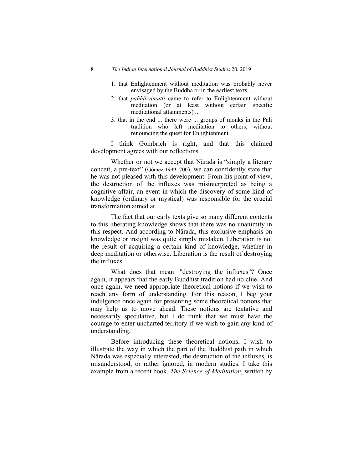### 8 *The Indian International Journal of Buddhist Studies* 20, 2019

- 1. that Enlightenment without meditation was probably never envisaged by the Buddha or in the earliest texts ...
- 2. that *paññå-vimutti* came to refer to Enlightenment without meditation (or at least without certain specific meditational attainments) ...
- 3. that in the end ... there were ... groups of monks in the Pali tradition who left meditation to others, without renouncing the quest for Enlightenment.

I think Gombrich is right, and that this claimed development agrees with our reflections.

Whether or not we accept that Nårada is "simply a literary conceit, a pre-text" (Gómez 1999: 700), we can confidently state that he was not pleased with this development. From his point of view, the destruction of the influxes was misinterpreted as being a cognitive affair, an event in which the discovery of some kind of knowledge (ordinary or mystical) was responsible for the crucial transformation aimed at.

The fact that our early texts give so many different contents to this liberating knowledge shows that there was no unanimity in this respect. And according to Nårada, this exclusive emphasis on knowledge or insight was quite simply mistaken. Liberation is not the result of acquiring a certain kind of knowledge, whether in deep meditation or otherwise. Liberation is the result of destroying the influxes.

What does that mean: "destroying the influxes"? Once again, it appears that the early Buddhist tradition had no clue. And once again, we need appropriate theoretical notions if we wish to reach any form of understanding. For this reason, I beg your indulgence once again for presenting some theoretical notions that may help us to move ahead. These notions are tentative and necessarily speculative, but I do think that we must have the courage to enter uncharted territory if we wish to gain any kind of understanding.

Before introducing these theoretical notions, I wish to illustrate the way in which the part of the Buddhist path in which Nårada was especially interested, the destruction of the influxes, is misunderstood, or rather ignored, in modern studies. I take this example from a recent book, *The Science of Meditation*, written by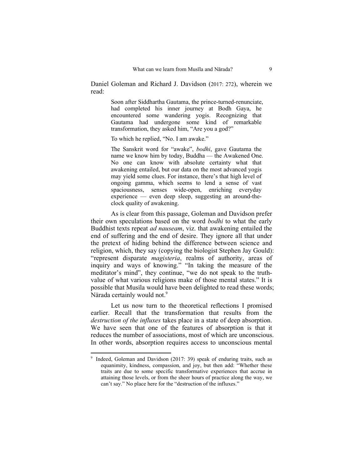Daniel Goleman and Richard J. Davidson (2017: 272), wherein we read:

> Soon after Siddhartha Gautama, the prince-turned-renunciate, had completed his inner journey at Bodh Gaya, he encountered some wandering yogis. Recognizing that Gautama had undergone some kind of remarkable transformation, they asked him, "Are you a god?"

To which he replied, "No. I am awake."

The Sanskrit word for "awake", *bodhi*, gave Gautama the name we know him by today, Buddha — the Awakened One. No one can know with absolute certainty what that awakening entailed, but our data on the most advanced yogis may yield some clues. For instance, there's that high level of ongoing gamma, which seems to lend a sense of vast spaciousness, senses wide-open, enriching everyday experience — even deep sleep, suggesting an around-theclock quality of awakening.

As is clear from this passage, Goleman and Davidson prefer their own speculations based on the word *bodhi* to what the early Buddhist texts repeat *ad nauseam*, viz. that awakening entailed the end of suffering and the end of desire. They ignore all that under the pretext of hiding behind the difference between science and religion, which, they say (copying the biologist Stephen Jay Gould): "represent disparate *magisteria*, realms of authority, areas of inquiry and ways of knowing." "In taking the measure of the meditator's mind", they continue, "we do not speak to the truthvalue of what various religions make of those mental states." It is possible that Musila would have been delighted to read these words; Nārada certainly would not.<sup>9</sup>

Let us now turn to the theoretical reflections I promised earlier. Recall that the transformation that results from the *destruction of the influxes* takes place in a state of deep absorption. We have seen that one of the features of absorption is that it reduces the number of associations, most of which are unconscious. In other words, absorption requires access to unconscious mental

<sup>&</sup>lt;sup>9</sup> Indeed, Goleman and Davidson (2017: 39) speak of enduring traits, such as equanimity, kindness, compassion, and joy, but then add: "Whether these traits are due to some specific transformative experiences that accrue in attaining those levels, or from the sheer hours of practice along the way, we can't say." No place here for the "destruction of the influxes."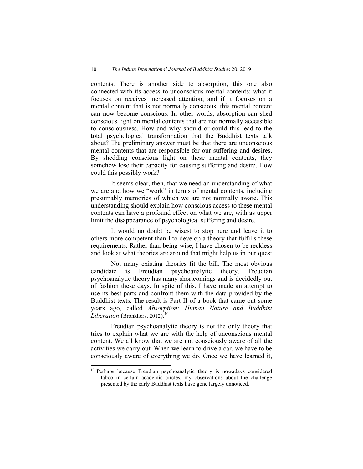contents. There is another side to absorption, this one also connected with its access to unconscious mental contents: what it focuses on receives increased attention, and if it focuses on a mental content that is not normally conscious, this mental content can now become conscious. In other words, absorption can shed conscious light on mental contents that are not normally accessible to consciousness. How and why should or could this lead to the total psychological transformation that the Buddhist texts talk about? The preliminary answer must be that there are unconscious mental contents that are responsible for our suffering and desires. By shedding conscious light on these mental contents, they somehow lose their capacity for causing suffering and desire. How could this possibly work?

It seems clear, then, that we need an understanding of what we are and how we "work" in terms of mental contents, including presumably memories of which we are not normally aware. This understanding should explain how conscious access to these mental contents can have a profound effect on what we are, with as upper limit the disappearance of psychological suffering and desire.

It would no doubt be wisest to stop here and leave it to others more competent than I to develop a theory that fulfills these requirements. Rather than being wise, I have chosen to be reckless and look at what theories are around that might help us in our quest.

Not many existing theories fit the bill. The most obvious candidate is Freudian psychoanalytic theory. Freudian psychoanalytic theory has many shortcomings and is decidedly out of fashion these days. In spite of this, I have made an attempt to use its best parts and confront them with the data provided by the Buddhist texts. The result is Part II of a book that came out some years ago, called *Absorption: Human Nature and Buddhist Liberation* (Bronkhorst 2012).<sup>10</sup>

Freudian psychoanalytic theory is not the only theory that tries to explain what we are with the help of unconscious mental content. We all know that we are not consciously aware of all the activities we carry out. When we learn to drive a car, we have to be consciously aware of everything we do. Once we have learned it,

<sup>&</sup>lt;sup>10</sup> Perhaps because Freudian psychoanalytic theory is nowadays considered taboo in certain academic circles, my observations about the challenge presented by the early Buddhist texts have gone largely unnoticed.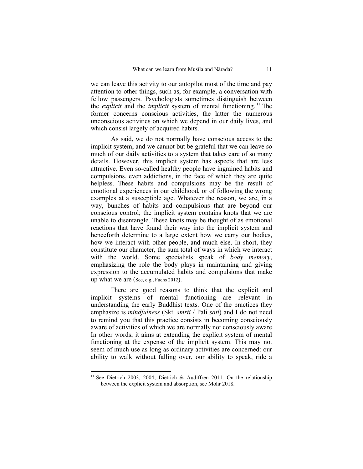we can leave this activity to our autopilot most of the time and pay attention to other things, such as, for example, a conversation with fellow passengers. Psychologists sometimes distinguish between the *explicit* and the *implicit* system of mental functioning.<sup>11</sup> The former concerns conscious activities, the latter the numerous unconscious activities on which we depend in our daily lives, and which consist largely of acquired habits.

As said, we do not normally have conscious access to the implicit system, and we cannot but be grateful that we can leave so much of our daily activities to a system that takes care of so many details. However, this implicit system has aspects that are less attractive. Even so-called healthy people have ingrained habits and compulsions, even addictions, in the face of which they are quite helpless. These habits and compulsions may be the result of emotional experiences in our childhood, or of following the wrong examples at a susceptible age. Whatever the reason, we are, in a way, bunches of habits and compulsions that are beyond our conscious control; the implicit system contains knots that we are unable to disentangle. These knots may be thought of as emotional reactions that have found their way into the implicit system and henceforth determine to a large extent how we carry our bodies, how we interact with other people, and much else. In short, they constitute our character, the sum total of ways in which we interact with the world. Some specialists speak of *body memory*, emphasizing the role the body plays in maintaining and giving expression to the accumulated habits and compulsions that make up what we are (See, e.g., Fuchs 2012).

There are good reasons to think that the explicit and implicit systems of mental functioning are relevant in understanding the early Buddhist texts. One of the practices they emphasize is *mindfulness* (Skt. *smṛti* / Pali *sati*) and I do not need to remind you that this practice consists in becoming consciously aware of activities of which we are normally not consciously aware. In other words, it aims at extending the explicit system of mental functioning at the expense of the implicit system. This may not seem of much use as long as ordinary activities are concerned: our ability to walk without falling over, our ability to speak, ride a

<sup>&</sup>lt;sup>11</sup> See Dietrich 2003, 2004; Dietrich & Audiffren 2011. On the relationship between the explicit system and absorption, see Mohr 2018.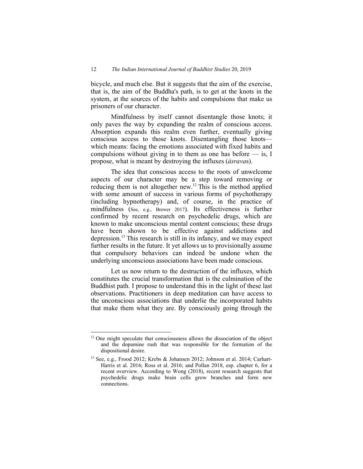bicycle, and much else. But it suggests that the aim of the exercise, that is, the aim of the Buddha's path, is to get at the knots in the system, at the sources of the habits and compulsions that make us prisoners of our character.

Mindfulness by itself cannot disentangle those knots; it only paves the way by expanding the realm of conscious access. Absorption expands this realm even further, eventually giving conscious access to those knots. Disentangling those knots which means: facing the emotions associated with fixed habits and compulsions without giving in to them as one has before  $-$  is, I propose, what is meant by destroying the influxes (*åsrava*s).

The idea that conscious access to the roots of unwelcome aspects of our character may be a step toward removing or reducing them is not altogether new.<sup>12</sup> This is the method applied with some amount of success in various forms of psychotherapy (including hypnotherapy) and, of course, in the practice of mindfulness (See, e.g., Brewer 2017). Its effectiveness is further confirmed by recent research on psychedelic drugs, which are known to make unconscious mental content conscious; these drugs have been shown to be effective against addictions and depression.<sup>13</sup> This research is still in its infancy, and we may expect further results in the future. It yet allows us to provisionally assume that compulsory behaviors can indeed be undone when the underlying unconscious associations have been made conscious.

Let us now return to the destruction of the influxes, which constitutes the crucial transformation that is the culmination of the Buddhist path. I propose to understand this in the light of these last observations. Practitioners in deep meditation can have access to the unconscious associations that underlie the incorporated habits that make them what they are. By consciously going through the

<sup>&</sup>lt;sup>12</sup> One might speculate that consciousness allows the dissociation of the object and the dopamine rush that was responsible for the formation of the dispositional desire.

<sup>&</sup>lt;sup>13</sup> See, e.g., Frood 2012; Krebs & Johansen 2012; Johnson et al. 2014; Carhart-Harris et al. 2016; Ross et al. 2016; and Pollan 2018, esp. chapter 6, for a recent overview. According to Wong (2018), recent research suggests that psychedelic drugs make brain cells grow branches and form new connections.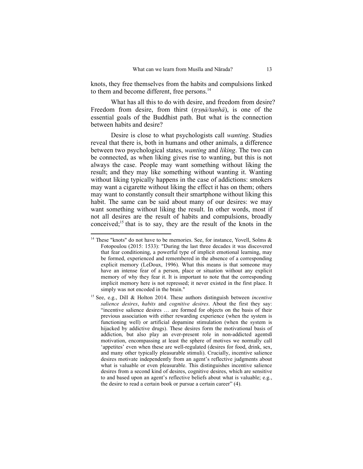knots, they free themselves from the habits and compulsions linked to them and become different, free persons.<sup>14</sup>

What has all this to do with desire, and freedom from desire? Freedom from desire, from thirst (*trṣnā/tanhā*), is one of the essential goals of the Buddhist path. But what is the connection between habits and desire?

Desire is close to what psychologists call *wanting*. Studies reveal that there is, both in humans and other animals, a difference between two psychological states, *wanting* and *liking*. The two can be connected, as when liking gives rise to wanting, but this is not always the case. People may want something without liking the result; and they may like something without wanting it. Wanting without liking typically happens in the case of addictions: smokers may want a cigarette without liking the effect it has on them; others may want to constantly consult their smartphone without liking this habit. The same can be said about many of our desires: we may want something without liking the result. In other words, most if not all desires are the result of habits and compulsions, broadly conceived; $<sup>15</sup>$  that is to say, they are the result of the knots in the</sup>

<sup>&</sup>lt;sup>14</sup> These "knots" do not have to be memories. See, for instance, Yovell, Solms  $\&$ Fotopoulou (2015: 1533): "During the last three decades it was discovered that fear conditioning, a powerful type of implicit emotional learning, may be formed, experienced and remembered in the absence of a corresponding explicit memory (LeDoux, 1996). What this means is that someone may have an intense fear of a person, place or situation without any explicit memory of why they fear it. It is important to note that the corresponding implicit memory here is not repressed; it never existed in the first place. It simply was not encoded in the brain."

<sup>15</sup> See, e.g., Dill & Holton 2014. These authors distinguish between *incentive salience desires*, *habits* and *cognitive desires*. About the first they say: "incentive salience desires … are formed for objects on the basis of their previous association with either rewarding experience (when the system is functioning well) or artificial dopamine stimulation (when the system is hijacked by addictive drugs). These desires form the motivational basis of addiction, but also play an ever-present role in non-addicted agents<sup>8</sup> motivation, encompassing at least the sphere of motives we normally call 'appetites' even when these are well-regulated (desires for food, drink, sex, and many other typically pleasurable stimuli). Crucially, incentive salience desires motivate independently from an agent's reflective judgments about what is valuable or even pleasurable. This distinguishes incentive salience desires from a second kind of desires, cognitive desires, which are sensitive to and based upon an agent's reflective beliefs about what is valuable; e.g., the desire to read a certain book or pursue a certain career" (4).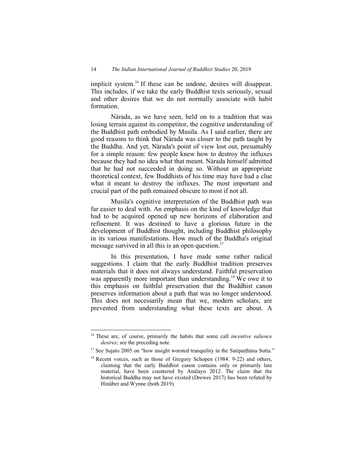implicit system.<sup>16</sup> If these can be undone, desires will disappear. This includes, if we take the early Buddhist texts seriously, sexual and other desires that we do not normally associate with habit formation.

Nårada, as we have seen, held on to a tradition that was losing terrain against its competitor, the cognitive understanding of the Buddhist path embodied by Musila. As I said earlier, there are good reasons to think that Nårada was closer to the path taught by the Buddha. And yet, Nårada's point of view lost out, presumably for a simple reason: few people knew how to destroy the influxes because they had no idea what that meant. Nårada himself admitted that he had not succeeded in doing so. Without an appropriate theoretical context, few Buddhists of his time may have had a clue what it meant to destroy the influxes. The most important and crucial part of the path remained obscure to most if not all.

Musila's cognitive interpretation of the Buddhist path was far easier to deal with. An emphasis on the kind of knowledge that had to be acquired opened up new horizons of elaboration and refinement. It was destined to have a glorious future in the development of Buddhist thought, including Buddhist philosophy in its various manifestations. How much of the Buddha's original message survived in all this is an open question.<sup>17</sup>

In this presentation, I have made some rather radical suggestions. I claim that the early Buddhist tradition preserves materials that it does not always understand. Faithful preservation was apparently more important than understanding.<sup>18</sup> We owe it to this emphasis on faithful preservation that the Buddhist canon preserves information about a path that was no longer understood. This does not necessarily mean that we, modern scholars, are prevented from understanding what these texts are about. A

<sup>16</sup> These are, of course, primarily the habits that some call *incentive salience desires*; see the preceding note.

 $17$  See Sujato 2005 on "how insight worsted tranquility in the Satipatthana Sutta."

<sup>&</sup>lt;sup>18</sup> Recent voices, such as those of Gregory Schopen (1984: 9-22) and others, claiming that the early Buddhist canon contains only or primarily late material, have been countered by Anålayo 2012. The claim that the historical Buddha may not have existed (Drewes 2017) has been refuted by Hinüber and Wynne (both 2019).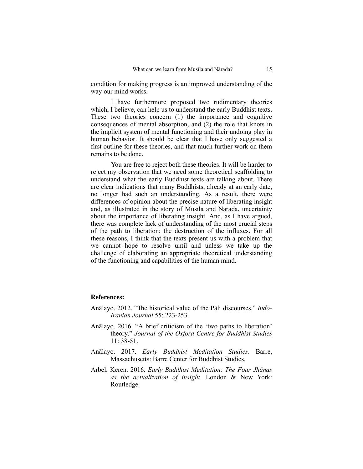condition for making progress is an improved understanding of the way our mind works.

I have furthermore proposed two rudimentary theories which, I believe, can help us to understand the early Buddhist texts. These two theories concern (1) the importance and cognitive consequences of mental absorption, and (2) the role that knots in the implicit system of mental functioning and their undoing play in human behavior. It should be clear that I have only suggested a first outline for these theories, and that much further work on them remains to be done.

You are free to reject both these theories. It will be harder to reject my observation that we need some theoretical scaffolding to understand what the early Buddhist texts are talking about. There are clear indications that many Buddhists, already at an early date, no longer had such an understanding. As a result, there were differences of opinion about the precise nature of liberating insight and, as illustrated in the story of Musila and Nārada, uncertainty about the importance of liberating insight. And, as I have argued, there was complete lack of understanding of the most crucial steps of the path to liberation: the destruction of the influxes. For all these reasons, I think that the texts present us with a problem that we cannot hope to resolve until and unless we take up the challenge of elaborating an appropriate theoretical understanding of the functioning and capabilities of the human mind.

## **References:**

- Anålayo. 2012. "The historical value of the Påli discourses." *Indo-Iranian Journal* 55: 223-253.
- Anålayo. 2016. "A brief criticism of the 'two paths to liberation' theory." *Journal of the Oxford Centre for Buddhist Studies* 11: 38-51.
- Anålayo. 2017. *Early Buddhist Meditation Studies*. Barre, Massachusetts: Barre Center for Buddhist Studies.
- Arbel, Keren. 2016. *Early Buddhist Meditation: The Four Jhånas as the actualization of insight*. London & New York: Routledge.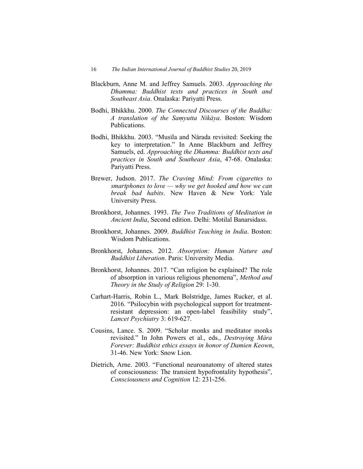- Blackburn, Anne M. and Jeffrey Samuels. 2003. *Approaching the Dhamma: Buddhist texts and practices in South and Southeast Asia*. Onalaska: Pariyatti Press.
- Bodhi, Bhikkhu. 2000. *The Connected Discourses of the Buddha: A translation of the Samyutta Nikāya*. Boston: Wisdom Publications.
- Bodhi, Bhikkhu. 2003. "Musīla and Nārada revisited: Seeking the key to interpretation." In Anne Blackburn and Jeffrey Samuels, ed. *Approaching the Dhamma: Buddhist texts and practices in South and Southeast Asia*, 47-68. Onalaska: Pariyatti Press.
- Brewer, Judson. 2017. *The Craving Mind: From cigarettes to smartphones to love — why we get hooked and how we can break bad habits*. New Haven & New York: Yale University Press.
- Bronkhorst, Johannes. 1993. *The Two Traditions of Meditation in Ancient India*, Second edition. Delhi: Motilal Banarsidass.
- Bronkhorst, Johannes. 2009. *Buddhist Teaching in India*. Boston: Wisdom Publications.
- Bronkhorst, Johannes. 2012. *Absorption: Human Nature and Buddhist Liberation*. Paris: University Media.
- Bronkhorst, Johannes. 2017. "Can religion be explained? The role of absorption in various religious phenomena", *Method and Theory in the Study of Religion* 29: 1-30.
- Carhart-Harris, Robin L., Mark Bolstridge, James Rucker, et al. 2016. "Psilocybin with psychological support for treatmentresistant depression: an open-label feasibility study", *Lancet Psychiatry* 3: 619-627.
- Cousins, Lance. S. 2009. "Scholar monks and meditator monks revisited." In John Powers et al., eds., *Destroying Måra Forever: Buddhist ethics essays in honor of Damien Keown*, 31-46. New York: Snow Lion.
- Dietrich, Arne. 2003. "Functional neuroanatomy of altered states of consciousness: The transient hypofrontality hypothesis", *Consciousness and Cognition* 12: 231-256.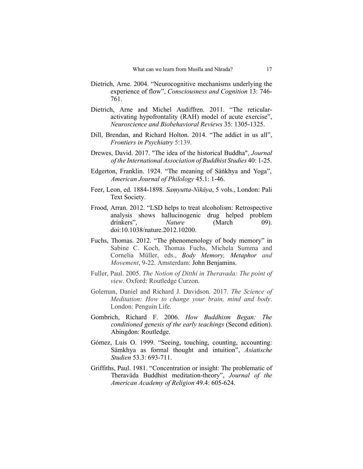- Dietrich, Arne. 2004. "Neurocognitive mechanisms underlying the experience of flow", *Consciousness and Cognition* 13: 746- 761.
- Dietrich, Arne and Michel Audiffren. 2011. "The reticularactivating hypofrontality (RAH) model of acute exercise", *Neuroscience and Biobehavioral Reviews* 35: 1305-1325.
- Dill, Brendan, and Richard Holton. 2014. "The addict in us all", *Frontiers in Psychiatry* 5:139.
- Drewes, David. 2017. "The idea of the historical Buddha", *Journal of the International Association of Buddhist Studies* 40: 1-25.
- Edgerton, Franklin. 1924. "The meaning of Såṅkhya and Yoga", *American Journal of Philology* 45.1: 1-46.
- Feer, Leon, ed. 1884-1898. *Samyutta-Nikāya*, 5 vols., London: Pali Text Society.
- Frood, Arran. 2012. "LSD helps to treat alcoholism: Retrospective analysis shows hallucinogenic drug helped problem drinkers", *Nature* (March 09). doi:10.1038/nature.2012.10200.
- Fuchs, Thomas. 2012. "The phenomenology of body memory" in Sabine C. Koch, Thomas Fuchs, Michela Summa and Cornelia Müller, eds., *Body Memory, Metaphor and Movement*, 9-22. Amsterdam: John Benjamins.
- Fuller, Paul. 2005. *The Notion of Ditthi in Theravada: The point of view*. Oxford: Routledge Curzon.
- Goleman, Daniel and Richard J. Davidson. 2017. *The Science of Meditation: How to change your brain, mind and body*. London: Penguin Life.
- Gombrich, Richard F. 2006. *How Buddhism Began: The conditioned genesis of the early teachings* (Second edition). Abingdon: Routledge.
- Gómez, Luis O. 1999. "Seeing, touching, counting, accounting: Sāmkhya as formal thought and intuition", *Asiatische Studien* 53.3: 693-711.
- Griffiths, Paul. 1981. "Concentration or insight: The problematic of Theravåda Buddhist meditation-theory", *Journal of the American Academy of Religion* 49.4: 605-624.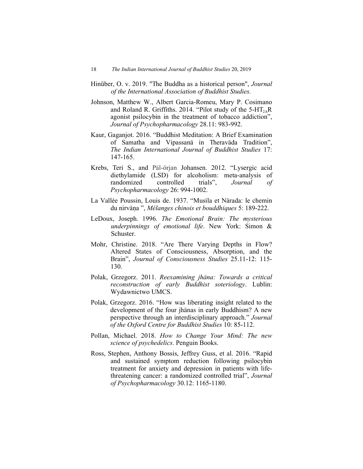- Hinüber, O. v. 2019. "The Buddha as a historical person", *Journal of the International Association of Buddhist Studies.*
- Johnson, Matthew W., Albert Garcia-Romeu, Mary P. Cosimano and Roland R. Griffiths. 2014. "Pilot study of the  $5-HT<sub>2A</sub>R$ agonist psilocybin in the treatment of tobacco addiction", *Journal of Psychopharmacology* 28.11: 983-992.
- Kaur, Gaganjot. 2016. "Buddhist Meditation: A Brief Examination of Samatha and Vipassanå in Theravåda Tradition", *The Indian International Journal of Buddhist Studies* 17: 147-165.
- Krebs, Teri S., and Pāl-ōrjan Johansen. 2012. "Lysergic acid diethylamide (LSD) for alcoholism: meta-analysis of randomized controlled trials", *Journal of Psychopharmacology* 26: 994-1002.
- La Vallée Poussin, Louis de. 1937. "Musila et Nārada: le chemin du nirvåˆa ", *Mélanges chinois et bouddhiques* 5: 189-222.
- LeDoux, Joseph. 1996. *The Emotional Brain: The mysterious underpinnings of emotional life*. New York: Simon & Schuster.
- Mohr, Christine. 2018. "Are There Varying Depths in Flow? Altered States of Consciousness, Absorption, and the Brain", *Journal of Consciousness Studies* 25.11-12: 115- 130.
- Polak, Grzegorz. 2011. *Reexamining jhåna: Towards a critical reconstruction of early Buddhist soteriology*. Lublin: Wydawnictwo UMCS.
- Polak, Grzegorz. 2016. "How was liberating insight related to the development of the four jhånas in early Buddhism? A new perspective through an interdisciplinary approach." *Journal of the Oxford Centre for Buddhist Studies* 10: 85-112.
- Pollan, Michael. 2018. *How to Change Your Mind: The new science of psychedelics*. Penguin Books.
- Ross, Stephen, Anthony Bossis, Jeffrey Guss, et al. 2016. "Rapid and sustained symptom reduction following psilocybin treatment for anxiety and depression in patients with lifethreatening cancer: a randomized controlled trial", *Journal of Psychopharmacology* 30.12: 1165-1180.